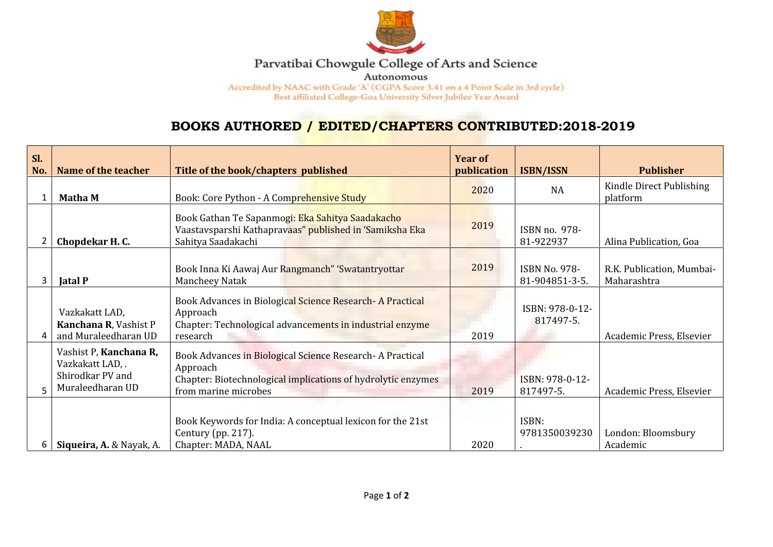

## Parvatibai Chowgule College of Arts and Science

Autonomous

Accredited by NAAC with Grade 'A' (CGPA Score 3.41 on a 4 Point Scale in 3rd cycle) Best affiliated College-Goa University Silver Jubilee Year Award

## **BOOKS AUTHORED / EDITED/CHAPTERS CONTRIBUTED:2018-2019**

| SI.<br>No. | Name of the teacher                                                                | Title of the book/chapters published                                                                                                                           | <b>Year of</b><br>publication | <b>ISBN/ISSN</b>                       | <b>Publisher</b>                         |
|------------|------------------------------------------------------------------------------------|----------------------------------------------------------------------------------------------------------------------------------------------------------------|-------------------------------|----------------------------------------|------------------------------------------|
|            | <b>Matha M</b>                                                                     | Book: Core Python - A Comprehensive Study                                                                                                                      | 2020                          | <b>NA</b>                              | Kindle Direct Publishing<br>platform     |
|            | Chopdekar H.C.                                                                     | Book Gathan Te Sapanmogi: Eka Sahitya Saadakacho<br>Vaastavsparshi Kathapravaas" published in 'Samiksha Eka<br>Sahitya Saadakachi                              | 2019                          | ISBN no. 978-<br>81-922937             | Alina Publication, Goa                   |
|            | <b>Jatal P</b>                                                                     | Book Inna Ki Aawaj Aur Rangmanch" 'Swatantryottar<br>Mancheey Natak                                                                                            | 2019                          | <b>ISBN No. 978-</b><br>81-904851-3-5. | R.K. Publication, Mumbai-<br>Maharashtra |
|            | Vazkakatt LAD,<br>Kanchana R, Vashist P<br>and Muraleedharan UD                    | Book Advances in Biological Science Research-A Practical<br>Approach<br>Chapter: Technological advancements in industrial enzyme<br>research                   | 2019                          | ISBN: 978-0-12-<br>817497-5.           | Academic Press, Elsevier                 |
|            | Vashist P, Kanchana R,<br>Vazkakatt LAD, .<br>Shirodkar PV and<br>Muraleedharan UD | Book Advances in Biological Science Research - A Practical<br>Approach<br>Chapter: Biotechnological implications of hydrolytic enzymes<br>from marine microbes | 2019                          | ISBN: 978-0-12-<br>817497-5.           | Academic Press, Elsevier                 |
| 6          | Siqueira, A. & Nayak, A.                                                           | Book Keywords for India: A conceptual lexicon for the 21st<br>Century (pp. 217).<br>Chapter: MADA, NAAL                                                        | 2020                          | ISBN:<br>9781350039230                 | London: Bloomsbury<br>Academic           |